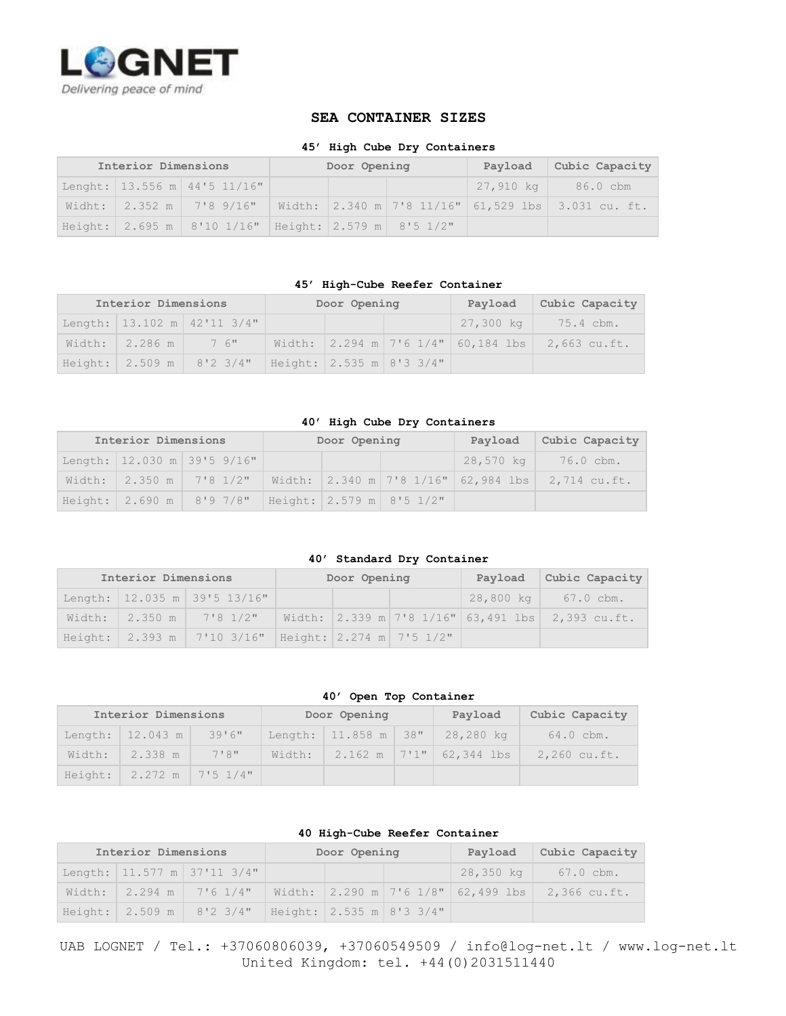

## **SEA CONTAINER SIZES**

## **45' High Cube Dry Containers**

| Interior Dimensions |  |                                                           | Door Opening |  |  | Payload | Cubic Capacity                                                                |
|---------------------|--|-----------------------------------------------------------|--------------|--|--|---------|-------------------------------------------------------------------------------|
|                     |  | Lenght: 13.556 m 44'5 11/16"                              |              |  |  |         | 27,910 kg   86.0 cbm                                                          |
|                     |  |                                                           |              |  |  |         | Widht: 2.352 m 7'8 9/16"   Width: 2.340 m 7'8 11/16" 61,529 lbs 3.031 cu. ft. |
|                     |  | Height: 2.695 m   8'10 1/16"   Height: 2.579 m   8'5 1/2" |              |  |  |         |                                                                               |

### **45' High-Cube Reefer Container**

| Interior Dimensions |                     |                                                             | Door Opening | Payload | Cubic Capacity                                                                       |
|---------------------|---------------------|-------------------------------------------------------------|--------------|---------|--------------------------------------------------------------------------------------|
|                     |                     | Length: $13.102$ m $42'11$ $3/4"$                           |              |         | 27,300 kg   75.4 cbm.                                                                |
|                     | Width: 2.286 m 3 6" |                                                             |              |         | Width: $ 2.294 \text{ m} 7'6 \frac{1}{4}'' 60,184 \text{ lbs} 2,663 \text{ cu.fit.}$ |
|                     |                     | Height: $2.509 \text{ m}$ 8'2 3/4" Height: 2.535 m 8'3 3/4" |              |         |                                                                                      |

### **40' High Cube Dry Containers**

| Interior Dimensions |  |                             | Door Opening |  |                            | Payload | Cubic Capacity                                                                       |
|---------------------|--|-----------------------------|--------------|--|----------------------------|---------|--------------------------------------------------------------------------------------|
|                     |  | Length: 12.030 m 39'5 9/16" |              |  |                            |         | 28,570 kg   76.0 cbm.                                                                |
|                     |  |                             |              |  |                            |         | Width: $2.350 \text{ m}$ 7'8 1/2"   Width: 2.340 m 7'8 1/16" 62,984 lbs 2,714 cu.ft. |
|                     |  | Height: 2.690 m 8'9 7/8"    |              |  | Height:  2.579 m  8'5 1/2" |         |                                                                                      |

### **40' Standard Dry Container**

| Interior Dimensions |  |                                                           | Door Opening | Payload | Cubic Capacity                                                                                 |
|---------------------|--|-----------------------------------------------------------|--------------|---------|------------------------------------------------------------------------------------------------|
|                     |  | Length: 12.035 m 39'5 13/16"                              |              |         | $28,800 \text{ kg}$ 67.0 cbm.                                                                  |
|                     |  |                                                           |              |         | Width: $2.350 \text{ m}$ 7'8 1/2"   Width: $2.339 \text{ m}$ 7'8 1/16" 63,491 lbs 2,393 cu.ft. |
|                     |  | Height: 2.393 m   7'10 3/16"   Height: 2.274 m   7'5 1/2" |              |         |                                                                                                |

### **40' Open Top Container**

| Interior Dimensions |                            |        |        | Door Opening         | Payload                           | Cubic Capacity |
|---------------------|----------------------------|--------|--------|----------------------|-----------------------------------|----------------|
|                     | Length: 12.043 m           | 39'6'' |        | Length: 11.858 m 38" | 28,280 kg                         | 64.0 cbm.      |
| Width:              | 2.338 m                    | 718"   | Width: |                      | $2.162 \text{ m}$ 7'1" 62,344 lbs | $2,260$ cu.ft. |
|                     | Height: 2.272 m   7'5 1/4" |        |        |                      |                                   |                |

#### **40 High-Cube Reefer Container**

| Interior Dimensions |  |                                                                    | Door Opening | Payload     | Cubic Capacity |
|---------------------|--|--------------------------------------------------------------------|--------------|-------------|----------------|
|                     |  | Length: $11.577$ m 37'11 3/4"                                      |              | $28,350$ kg | 67.0 cbm.      |
|                     |  | Width: 2.294 m   7'6 1/4"   Width: 2.290 m   7'6 1/8"   62,499 lbs |              |             | 2,366 cu.ft.   |
|                     |  | Height: $2.509 \text{ m}$ 8'2 3/4" Height: 2.535 m 8'3 3/4"        |              |             |                |

UAB LOGNET / Tel.: +37060806039, +37060549509 / info@log-net.lt / www.log-net.lt United Kingdom: tel. +44(0)2031511440